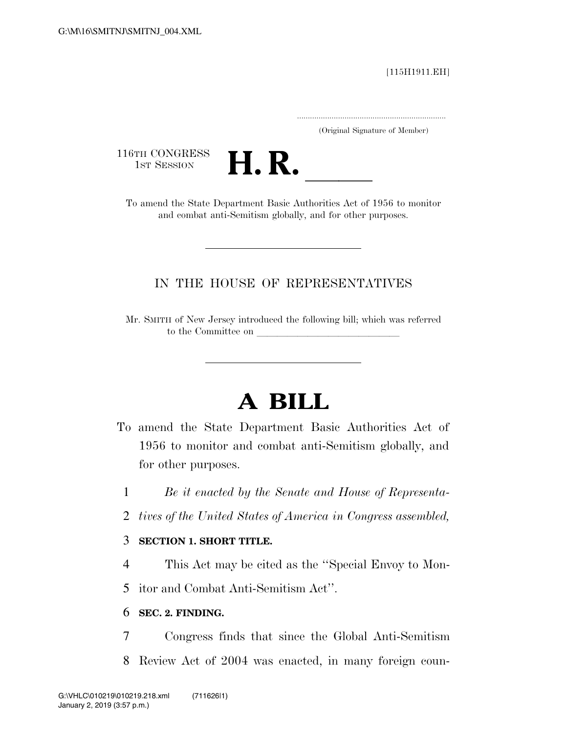#### [115H1911.EH]

.....................................................................

(Original Signature of Member)

116TH CONGRESS<br>1st Session



1ST SESSION **H. R. H. R. H. R.** To amend the State Department Basic Authorities Act of 1956 to monitor and combat anti-Semitism globally, and for other purposes.

## IN THE HOUSE OF REPRESENTATIVES

Mr. SMITH of New Jersey introduced the following bill; which was referred to the Committee on

# **A BILL**

- To amend the State Department Basic Authorities Act of 1956 to monitor and combat anti-Semitism globally, and for other purposes.
	- 1 *Be it enacted by the Senate and House of Representa-*
	- 2 *tives of the United States of America in Congress assembled,*

### 3 **SECTION 1. SHORT TITLE.**

- 4 This Act may be cited as the ''Special Envoy to Mon-
- 5 itor and Combat Anti-Semitism Act''.

### 6 **SEC. 2. FINDING.**

- 7 Congress finds that since the Global Anti-Semitism
- 8 Review Act of 2004 was enacted, in many foreign coun-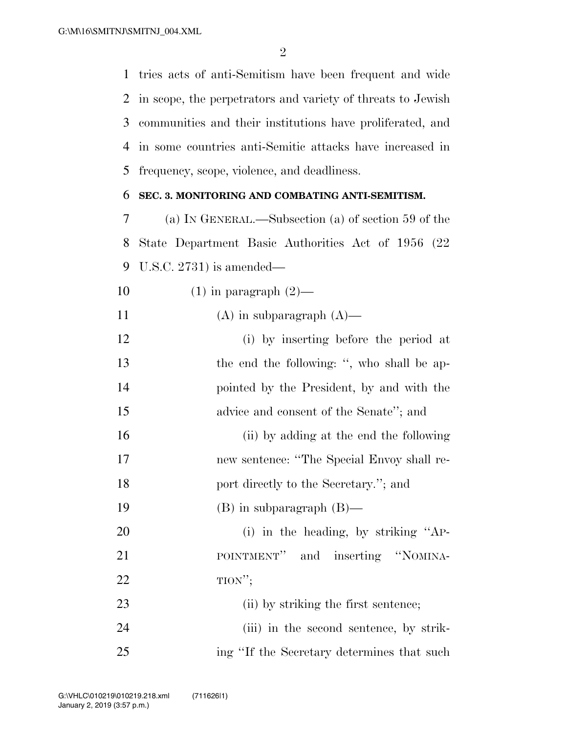tries acts of anti-Semitism have been frequent and wide in scope, the perpetrators and variety of threats to Jewish communities and their institutions have proliferated, and in some countries anti-Semitic attacks have increased in frequency, scope, violence, and deadliness.

#### **SEC. 3. MONITORING AND COMBATING ANTI-SEMITISM.**

 (a) IN GENERAL.—Subsection (a) of section 59 of the State Department Basic Authorities Act of 1956 (22 U.S.C. 2731) is amended—

10  $(1)$  in paragraph  $(2)$ —

11  $(A)$  in subparagraph  $(A)$ —

- (i) by inserting before the period at 13 the end the following: ", who shall be ap- pointed by the President, by and with the advice and consent of the Senate''; and (ii) by adding at the end the following
- new sentence: ''The Special Envoy shall re-18 port directly to the Secretary."; and
- (B) in subparagraph (B)—
- 20 (i) in the heading, by striking "AP-21 POINTMENT" and inserting "NOMINA-TION'';
- 23 (ii) by striking the first sentence; 24 (iii) in the second sentence, by strik-ing ''If the Secretary determines that such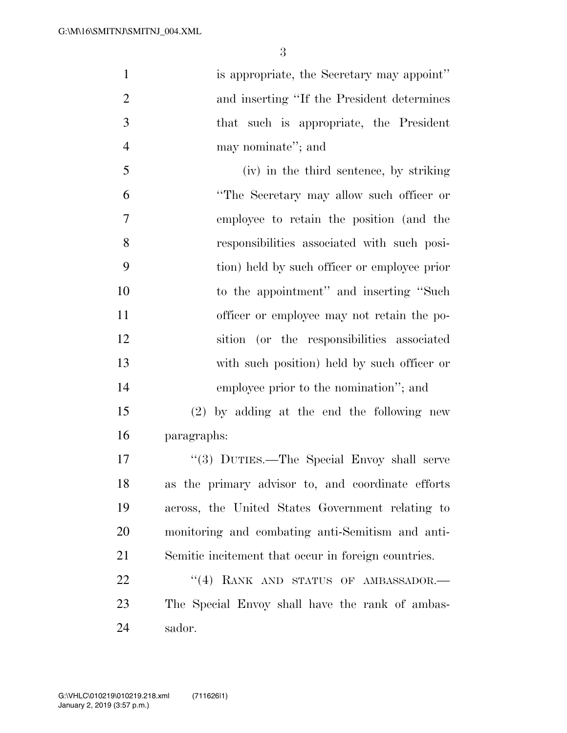1 is appropriate, the Secretary may appoint'' and inserting ''If the President determines that such is appropriate, the President may nominate''; and

 (iv) in the third sentence, by striking ''The Secretary may allow such officer or employee to retain the position (and the responsibilities associated with such posi- tion) held by such officer or employee prior to the appointment'' and inserting ''Such officer or employee may not retain the po- sition (or the responsibilities associated with such position) held by such officer or employee prior to the nomination''; and

 (2) by adding at the end the following new paragraphs:

 ''(3) DUTIES.—The Special Envoy shall serve as the primary advisor to, and coordinate efforts across, the United States Government relating to monitoring and combating anti-Semitism and anti-Semitic incitement that occur in foreign countries.

22 "(4) RANK AND STATUS OF AMBASSADOR.— The Special Envoy shall have the rank of ambas-sador.